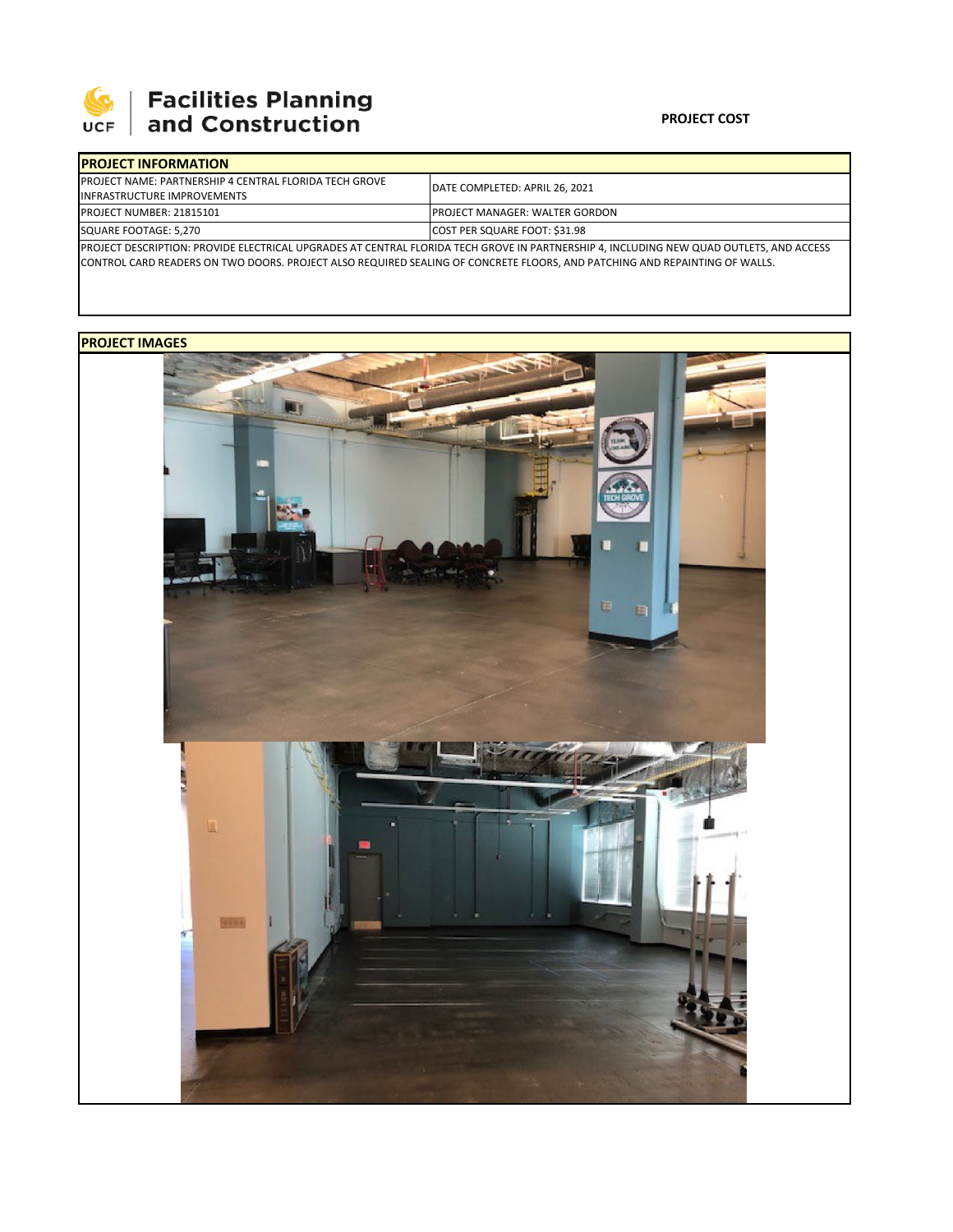

# **SEPTE AND Facilities Planning**<br>UCF and Construction

### **PROJECT COST**

| <b>IPROJECT INFORMATION</b>                                                                                                             |                                        |  |  |  |
|-----------------------------------------------------------------------------------------------------------------------------------------|----------------------------------------|--|--|--|
| <b>PROJECT NAME: PARTNERSHIP 4 CENTRAL FLORIDA TECH GROVE</b>                                                                           | DATE COMPLETED: APRIL 26, 2021         |  |  |  |
| <b>INFRASTRUCTURE IMPROVEMENTS</b>                                                                                                      |                                        |  |  |  |
| PROJECT NUMBER: 21815101                                                                                                                | <b>IPROJECT MANAGER: WALTER GORDON</b> |  |  |  |
| SQUARE FOOTAGE: 5,270                                                                                                                   | COST PER SQUARE FOOT: \$31.98          |  |  |  |
| PROJECT DESCRIPTION: PROVIDE ELECTRICAL UPGRADES AT CENTRAL FLORIDA TECH GROVE IN PARTNERSHIP 4, INCLUDING NEW QUAD OUTLETS, AND ACCESS |                                        |  |  |  |

CONTROL CARD READERS ON TWO DOORS. PROJECT ALSO REQUIRED SEALING OF CONCRETE FLOORS, AND PATCHING AND REPAINTING OF WALLS.

## **PROJECT IMAGES**